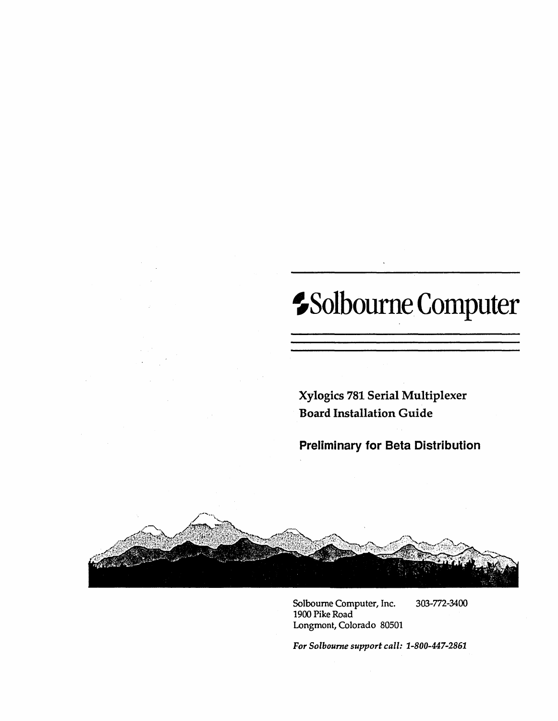# ~Solbourne Computer

Xylogics 781 Serial Multiplexer Board Installation Guide

Preliminary for Beta Distribution



Solboume Computer, Inc. 303-772-3400 1900 Pike Road Longmont, Colorado 80501

*For Solboume support call: 1-800-447-2861*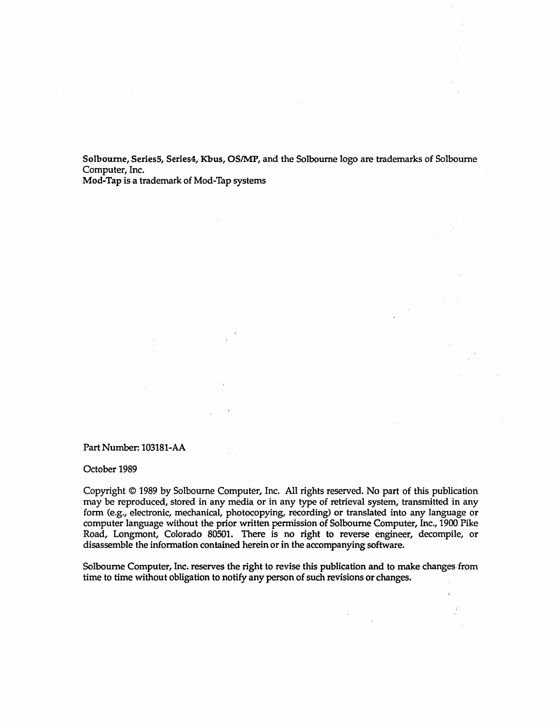Solboume, Series5, Series4, Kbus, OSIMP, and the Solboume logo are trademarks of Solboume Computer, Inc.

Mod-Tap is a trademark of Mod-Tap systems

#### Part Number: 103181-AA

October 1989

Copyright © 1989 by Solboume Computer, Inc. All rights reserved. No part of this publication may be reproduced, stored in any media or in any type of retrieval system, transmitted in any form (e.g., electronic, mechanical, photocopying, recording) or translated into any language or computer language without the prior written permission of Solboume Computer, Inc., 1900 Pike Road, Longmont, Colorado 80501. There is no right to reverse engineer, decompile, or disassemble the information contained herein or in the accompanying software.

Solboume Computer, Inc. reserves the right to revise this publication and to make changes. from time to time without obligation to notify any person of such revisions or changes.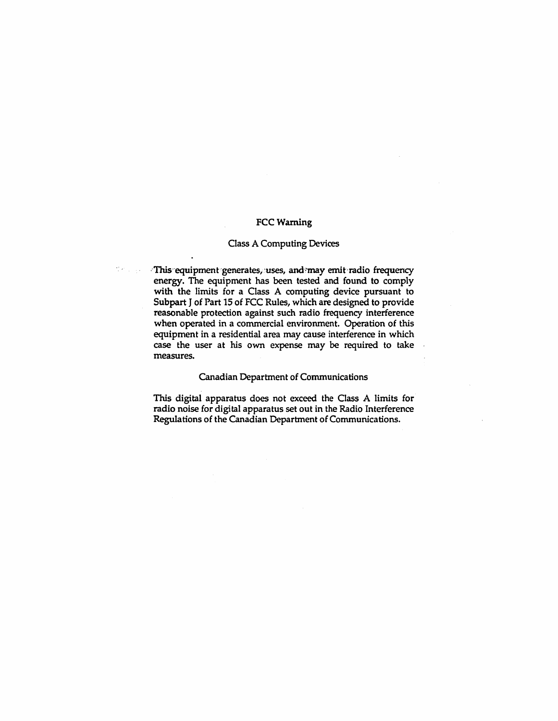#### FCC Warning

#### Class A Computing Devices

·This equipment generates, uses, and may emit radio frequency energy. The equipment has been tested and found to comply with the limits for a Class A computing device pursuant to Subpart J of Part 15 of FCC Rules, which are designed to provide reasonable protection against such radio frequency interference when operated in a commercial environment. Operation of this equipment in a residential area may cause interference in which case the user at his own expense may be required to take measures.

#### Canadian Department of Communications

This digital apparatus does not exceed the Class A limits for radio noise for digital apparatus set out in the Radio Interference Regulations of the Canadian Department of Communications.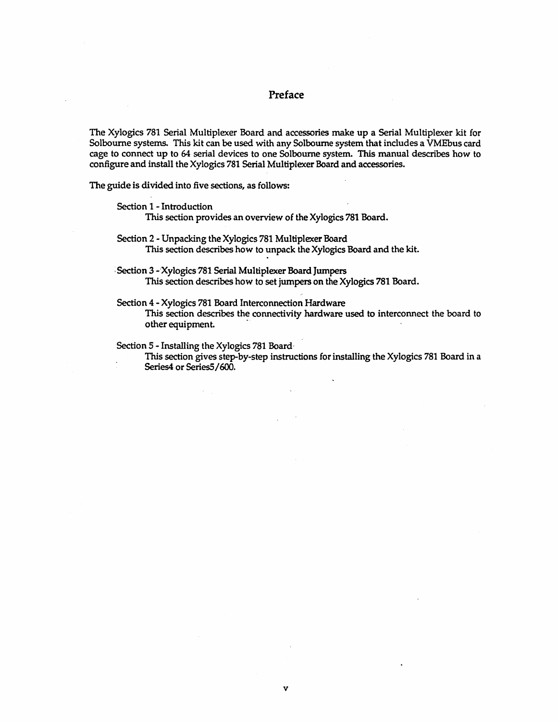#### Preface

The Xylogics 781 Serial Multiplexer Board and accessories make up a Serial Multiplexer kit for Solboume systems. This kit can be used with any Solbourne system that includes a VMEbus card cage to connect up to 64 serial devices to one Solboume system. This manual describes how to configure and install the Xylogics 781 Serial Multiplexer Board and accessories.

The guide is divided into five sections, as follows:

Section 1 - Introduction

This section provides an overview of the Xylogics 781 Board.

Section 2 - Unpacking the Xylogics 781 Multiplexer Board This section describes how to unpack the Xylogics Board and the kit.

Section 3 - Xylogics 781 Serial Multiplexer Board Jumpers This section describes how to set jumpers on the Xylogics 781 Board.

Section 4 - Xylogics 781 Board Interconnection Hardware This section describes the connectivity hardware used to interconnect the board to other equipment.

Section 5 - Installing the Xylogics 781 Board'

 $\sim$ 

This section gives step-by-step instructions for installing the Xylogics 781 Board in a Series4 or Series5 /600.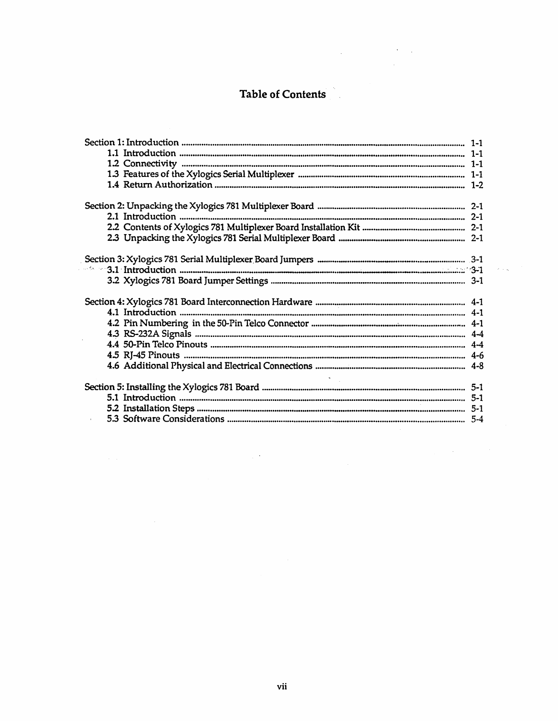# Table of Contents

 $\label{eq:2.1} \frac{1}{\sqrt{2}}\int_{\mathbb{R}^3}\frac{1}{\sqrt{2}}\left(\frac{1}{\sqrt{2}}\right)^2\left(\frac{1}{\sqrt{2}}\right)^2\left(\frac{1}{\sqrt{2}}\right)^2\left(\frac{1}{\sqrt{2}}\right)^2\left(\frac{1}{\sqrt{2}}\right)^2\left(\frac{1}{\sqrt{2}}\right)^2\left(\frac{1}{\sqrt{2}}\right)^2.$ 

 $\hat{\mathcal{A}}$ 

 $\label{eq:2.1} \frac{1}{2\pi}\left(\frac{1}{2}\left(\frac{1}{2}\right)^2\right)^2\left(\frac{1}{2}\left(\frac{1}{2}\right)^2\right)^2\left(\frac{1}{2}\left(\frac{1}{2}\right)^2\right)^2\right)^2.$ 

 $\frac{1}{2} \sum_{i=1}^n \frac{1}{2} \sum_{j=1}^n \frac{1}{2} \sum_{j=1}^n \frac{1}{2} \sum_{j=1}^n \frac{1}{2} \sum_{j=1}^n \frac{1}{2} \sum_{j=1}^n \frac{1}{2} \sum_{j=1}^n \frac{1}{2} \sum_{j=1}^n \frac{1}{2} \sum_{j=1}^n \frac{1}{2} \sum_{j=1}^n \frac{1}{2} \sum_{j=1}^n \frac{1}{2} \sum_{j=1}^n \frac{1}{2} \sum_{j=1}^n \frac{1}{2} \sum_{j=$ 

 $\mathcal{L}^{\text{max}}_{\text{max}}$  and  $\mathcal{L}^{\text{max}}_{\text{max}}$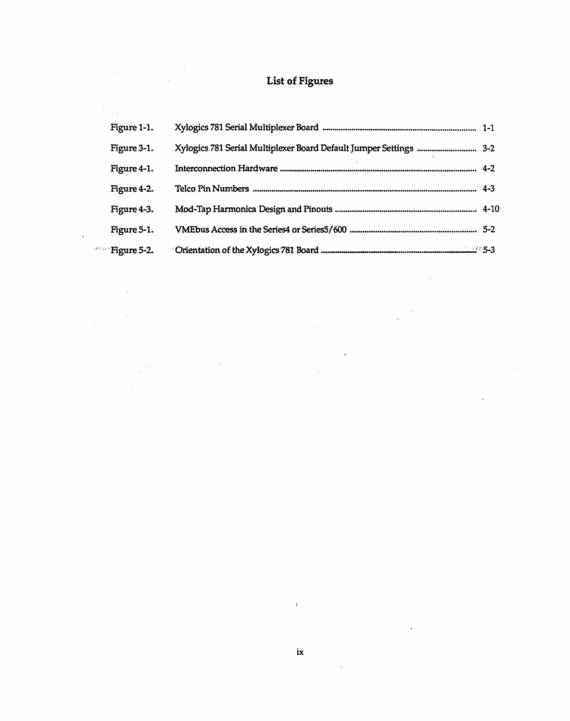# List of Figures

| Figure 1-1.   |                                                                    |  |
|---------------|--------------------------------------------------------------------|--|
| Figure 3-1.   | Xylogics 781 Serial Multiplexer Board Default Jumper Settings  3-2 |  |
| Figure 4-1.   |                                                                    |  |
| Figure 4-2.   |                                                                    |  |
| Figure 4-3.   |                                                                    |  |
| Figure 5-1.   |                                                                    |  |
| $Figure 5-2.$ |                                                                    |  |

 $\cdot$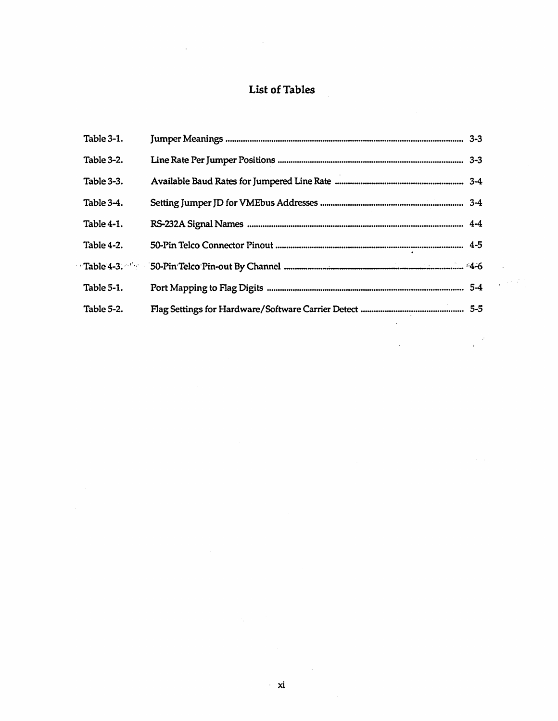# List of Tables

 $\label{eq:2.1} \frac{1}{2} \sum_{i=1}^n \frac{1}{2} \sum_{j=1}^n \frac{1}{2} \sum_{j=1}^n \frac{1}{2} \sum_{j=1}^n \frac{1}{2} \sum_{j=1}^n \frac{1}{2} \sum_{j=1}^n \frac{1}{2} \sum_{j=1}^n \frac{1}{2} \sum_{j=1}^n \frac{1}{2} \sum_{j=1}^n \frac{1}{2} \sum_{j=1}^n \frac{1}{2} \sum_{j=1}^n \frac{1}{2} \sum_{j=1}^n \frac{1}{2} \sum_{j=1}^n \frac{$ 

 $\sim 10$ 

 $\sim$ 

| Table 3-1. |  |
|------------|--|
| Table 3-2. |  |
| Table 3-3. |  |
| Table 3-4. |  |
| Table 4-1. |  |
| Table 4-2. |  |
|            |  |
| Table 5-1. |  |
| Table 5-2. |  |
|            |  |

الأنبياني

 $\mathcal{S}$ 

 $\sim 10^{11}$ 

 $\sim 10^7$ 

 $\frac{1}{2}$ 

 $\mathcal{A}$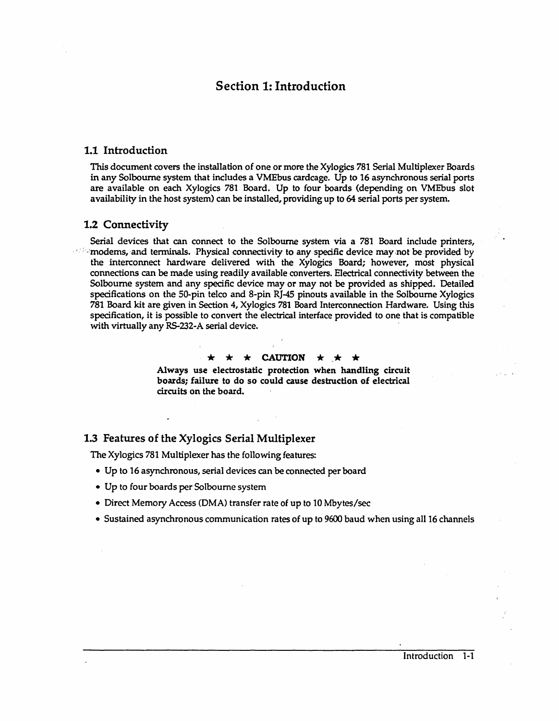# Section 1: Introduction

#### 1.1 Introduction

This document covers the installation of one or more the Xylogics 781 Serial Multiplexer Boards in any Solbourne system that includes a VMEbus cardcage. Up to 16 asynchronous serial ports are available on each Xylogics 781 Board. Up to four boards (depending on VMEbus slot availability in the host system) can be installed, providing up to 64 serial ports per system.

#### 1.2 Connectivity

Serial devices that can connect to the Solbourne system via a 781 Board include printers,  $\cdot$  : imodems, and terminals. Physical connectivity to any specific device may not be provided by the interconnect hardware delivered with the Xylogics Board; however, most physical connections can be made using readily available converters. Electrical connectivity between the Solbourne system and any specific device may or may not be provided as shipped. Detailed specifications on the SO-pin telco and 8-pin RJ-45 pinouts available in the Solbourne Xylogics 781 Board kit are given in Section 4, Xylogics 781 Board Interconnection Hardware. Using this specification, it is possible to convert the electrical interface provided to one that is compatible with virtually any RS-232-A serial device. .

#### $\star \star$  CAUTION  $\star \star$

Always use electrostatic protection when handling circuit boards; failure to do so could cause destruction of electrical circuits on the board.

#### 1.3 Features of the Xylogics Serial Multiplexer

The Xylogics 781 Multiplexer has the following features:

- Up to 16 asynchronous, serial devices can be connected per board
- Up to four boards per Solboume system
- Direct Memory Access (DMA) transfer rate of up to 10 Mbytes/sec
- Sustained asynchronous communication rates of up to 9600 baud when using all 16 channels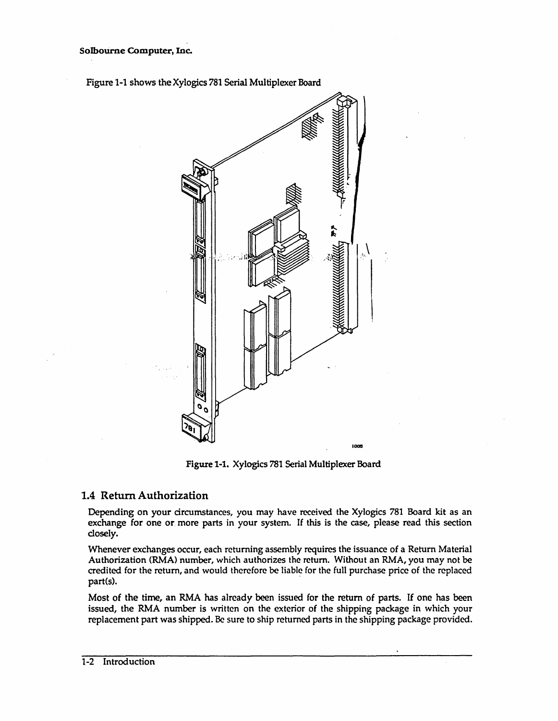



Figure 1-1. Xylogics 781 Serial Multiplexer Board

# 1.4 Return Authorization

Depending on your circumstances, you may have received the Xylogics 781 Board kit as an exchange for one or more parts in your system. If this is the case, please read this section closely.

Whenever exchanges occur, each returning assembly requires the issuance of a Return Material Authorization (RMA) number, which authorizes the return. Without an RMA, you may not be credited for the return, and would therefore be liable (or the full purchase price of the replaced part(s).

Most of the time, an RMA has already been issued for the return of parts. If one has been issued, the RMA number is written on the exterior of the shipping package in which your replacement part was shipped. Be sure to ship returned parts in the shipping package provided.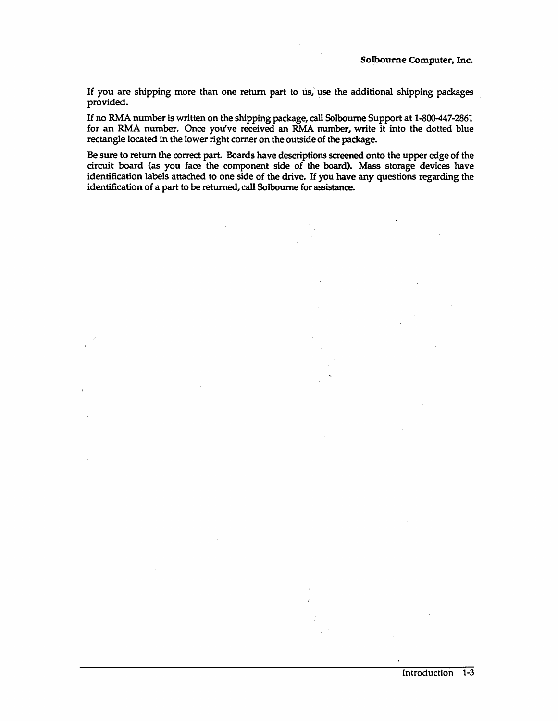If you are shipping more than one return part to us; use the additional shipping packages provided.

If no RMA number is written on the shipping package, call Solboume Support at 1-800-447-2861 for an RMA number. Once you've received an RMA number, write it into the dotted blue rectangle located in the lower right comer on the outside of the package.

Be sure to return the correct part. Boards have descriptions screened onto the upper edge of the circuit board (as you face the component side of the board). Mass storage devices have identification labels attached to one side of the drive. If you have any questions regarding the identification of a part to be returned, call Solboume for assistance.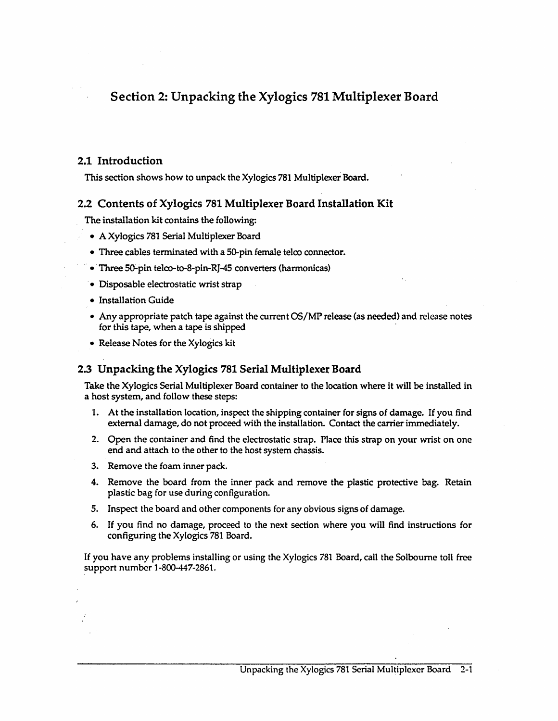# Section 2: Unpacking the Xylogics 781 Multiplexer Board

# 2.1 Introduction

This section shows how to unpack the Xylogics 781 Multiplexer Board.

# 2.2 Contents of Xylogics 781 Multiplexer Board Installation Kit

The installation kit contains the following:

- A Xylogics 781 Serial Multiplexer Board
- Three cables terminated with a 50-pin female telco connector.
- Three 50-pin telco-to-8-pin-RJ-45 converters (harmonicas)
- Disposable electrostatic wrist strap
- Installation Guide
- Any appropriate patch tape against the current OS/MP release (as needed) and release notes for this tape, when a tape is shipped
- Release Notes for the Xylogics kit

# 2.3 Unpacking the Xylogics 781 Serial Multiplexer Board

Take the Xylogics Serial Multiplexer Board container to the location where it will be installed in a host system, and follow these steps:

- 1. At the installation location, inspect the shipping container for signs of damage. If you find external damage, do not proceed with the installation. Contact the carrier immediately.
- 2. Open the container and find the electrostatic strap. Place this strap on your wrist on one end and attach to the other to the host system chassis.
- 3. Remove the foam inner pack.
- 4. Remove the board from the inner pack and remove the plastic protective bag. Retain plastic bag for use during configuration.
- S. Inspect the board and other components for any obvious signs of damage.
- 6. If you find no damage, proceed to the next section where you will find instructions for configuring the Xylogics 781 Board.

If you have any problems installing or using the Xylogics 781 Board, call the Solboume toll free support number 1-800-447-2861.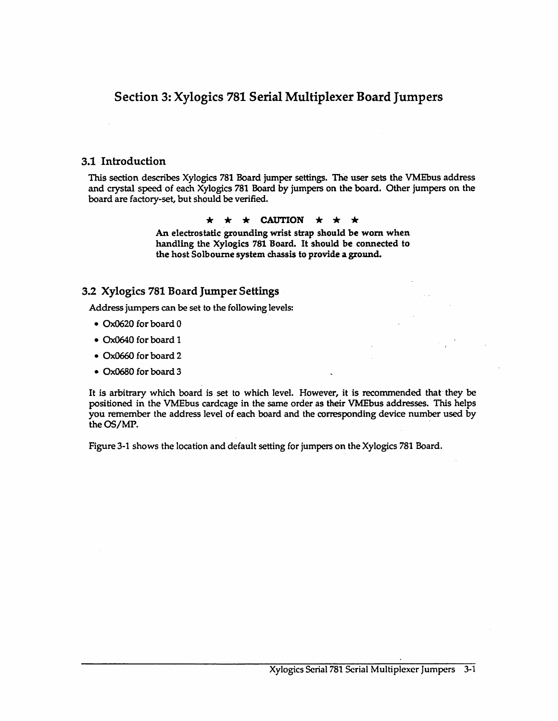# Section 3: Xylogics 781 Serial Multiplexer Board Jumpers

## 3.1 Introduction

This section describes Xylogics 781 Board jumper settings. The user sets the VMEbus address and crystal speed of each Xylogics 781 Board by jumpers on the board. Other jumpers on the board are factory-set, but should be verified.

#### $\star \star \star$  CAUTION  $\star \star \star$

An electrostatic grounding wrist strap should be worn when handling the Xylogics 781 Board. It should be connected to the host Solboume system chassis to provide a ground.

## 3.2 Xylogics 781 Board Jumper Settings

Address jumpers can be set to the following levels:

- 0x0620 for board 0
- 0x0640 for board 1
- Ox066O for board 2
- Ox0680 for board 3

It is arbitrary which board is set to which level. However, it is recommended that they be positioned in the VMEbus cardcage in the same order as their VMEbus addresses. This helps you remember the address level of each board and the corresponding device number used by the OS/MP.

Figure 3-1 shows the location and default setting for jumpers on the Xylogics 781 Board.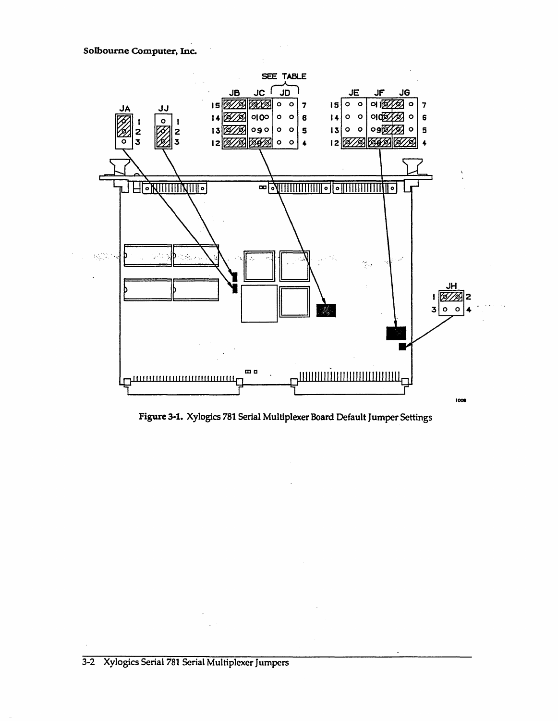

Figure 3-1. Xylogics 781 Serial Multiplexer Board Default Jumper Settings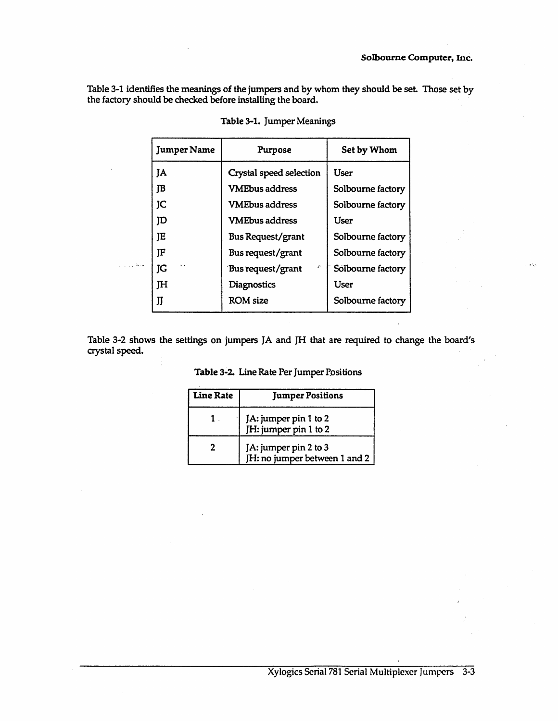Table 3-1 identifies the meanings of the jumpers and by whom they should be set. Those set by the factory should be checked before installing the board.

|        | <b>Jumper Name</b> | Purpose                  | Set by Whom       |
|--------|--------------------|--------------------------|-------------------|
|        | <b>JA</b>          | Crystal speed selection  | User              |
|        | JB                 | <b>VMEbus address</b>    | Solbourne factory |
|        | JC                 | <b>VMEbus address</b>    | Solbourne factory |
|        | סן                 | <b>VMEbus address</b>    | User              |
|        | JE                 | <b>Bus Request/grant</b> | Solbourne factory |
|        | JF                 | Bus request/grant        | Solbourne factory |
| المحمد | t. .<br>JG         | 54.<br>Bus request/grant | Solbourne factory |
|        | <b>TH</b>          | Diagnostics              | User              |
|        | JJ                 | <b>ROM</b> size          | Solbourne factory |
|        |                    |                          |                   |

Table 3-2 shows the settings on jumpers JA and JH that are required to change the board's crystal speed.

| <b>Line Rate</b> | <b>Jumper Positions</b>                                |
|------------------|--------------------------------------------------------|
|                  | JA: jumper pin 1 to 2<br>JH: jumper pin 1 to 2         |
|                  | JA: jumper pin 2 to 3<br>JH: no jumper between 1 and 2 |

Table 3-2. Line Rate Per Jumper Positions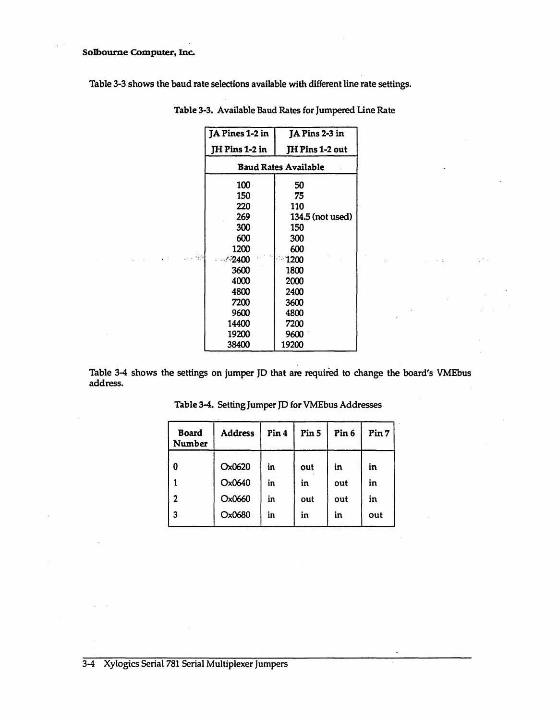#### Solbourne Computer, Inc.

Table 3-3 shows the baud rate selections available with different line rate settings.

|       | JA Pines 1-2 in | JA Pins 2-3 in              |  |  |
|-------|-----------------|-----------------------------|--|--|
|       | JH Pins 1-2 in  | JH Pins 1-2 out             |  |  |
|       |                 | <b>Baud Rates Available</b> |  |  |
|       | 100             | 50                          |  |  |
|       | 150             | 75                          |  |  |
|       | 220             | 110                         |  |  |
|       | 269             | 134.5 (not used)            |  |  |
|       | 300             | 150                         |  |  |
|       | 600             | 300                         |  |  |
|       | 1200            | 600                         |  |  |
| 1.183 | $\cdot$ 2400    | ी 1200                      |  |  |
|       | 3600            | 1800                        |  |  |
|       | 4000            | 2000                        |  |  |
|       | 4800            | 2400                        |  |  |
|       | 7200            | 3600                        |  |  |
|       | 9600            | 4800                        |  |  |
|       | 14400           | 7200                        |  |  |
|       | 19200           | 9600                        |  |  |
|       | <b>38400</b>    | 19200                       |  |  |

Table 3-3. Available Baud Rates for Jumpered Line Rate

Table 3-4 shows the settings on jumper JD that are required to change the board's VMEbus address.

| Board<br>Number  | Address | Pin <sub>4</sub> | Pin 5 | Pin <sub>6</sub> | Pin 7 |
|------------------|---------|------------------|-------|------------------|-------|
| $\boldsymbol{0}$ | Ox0620  | in               | out   | in               | in    |
|                  | Ox0640  | in               | in    | out              | in    |
| $\overline{2}$   | Ox0660  | in               | out   | out              | in    |
| $\mathbf{3}$     | Ox0680  | in               | in    | in               | out   |

Table 3-4. Setting Jumper JD for VMEbus Addresses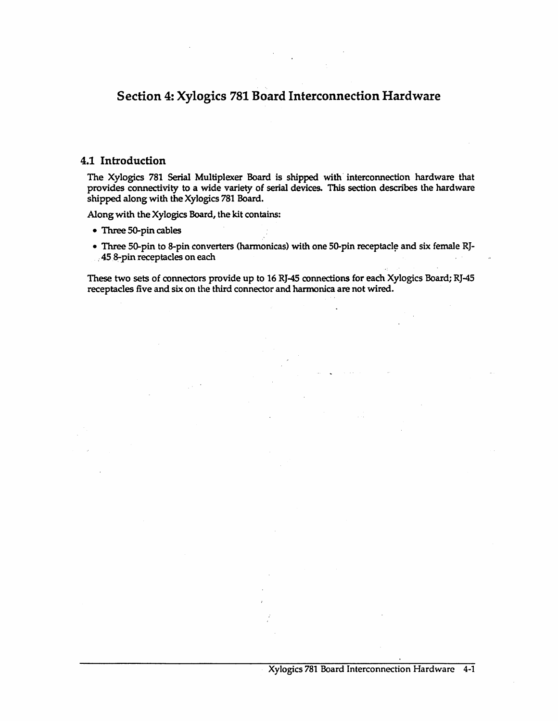# Section 4: Xylogics 781 Board Interconnection Hardware

#### 4.1 Introduction

The Xylogics 781 Serial Multiplexer Board is shipped with interconnection hardware that provides connectivity to a wide variety of serial devices. This section describes the hardware shipped along with the Xylogics 781 Board.

Along with the Xylogics Board, the kit contains:

- Three 5O-pin cables
- Three 50-pin to 8-pin converters (harmonicas) with one 50-pin receptacle and six female RJ-458-pin receptacles on each

These two sets of connectors provide up to 16 RJ-45 connections for each Xylogics Board; RJ-45 receptacles five and six on the third connector and harmonica are not wired.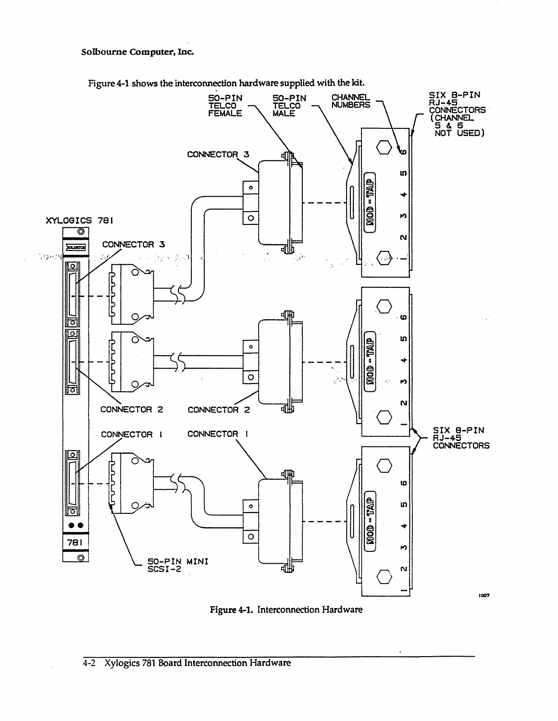#### Solbourne Computer, Inc.



Figure 4-1 shows the interconnection hardware supplied with the kit.

Figure 4-1. Interconnection Hardware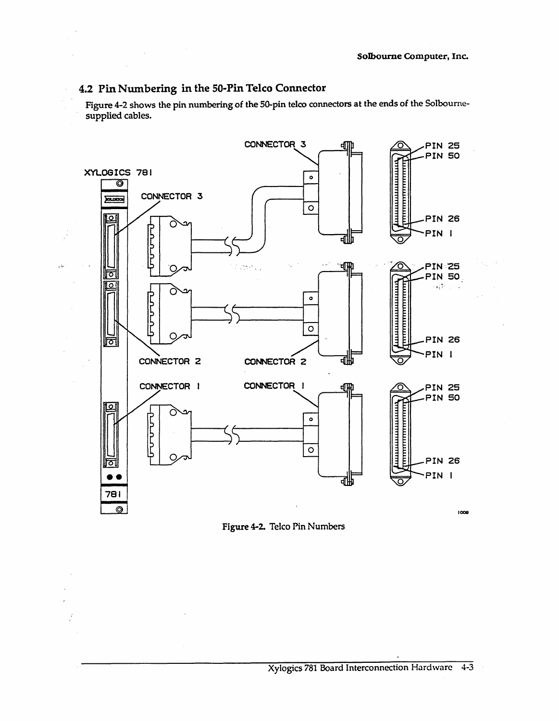# 4.2 Pin Numbering in the 50-Pin Telco Connector

 $\mathcal{L}_{\text{max}}$  and  $\mathcal{L}_{\text{max}}$  and  $\mathcal{L}_{\text{max}}$ 

 $\mathbb{Z}^2$ 

 $\mathbb{R}^2$ 

τb

 $\frac{\partial}{\partial x}$ 

Figure 4-2 shows the pin numbering of the 50-pin telco connectors at the ends of the Solbournesupplied cables.



Figure 4-2. Telco Pin Numbers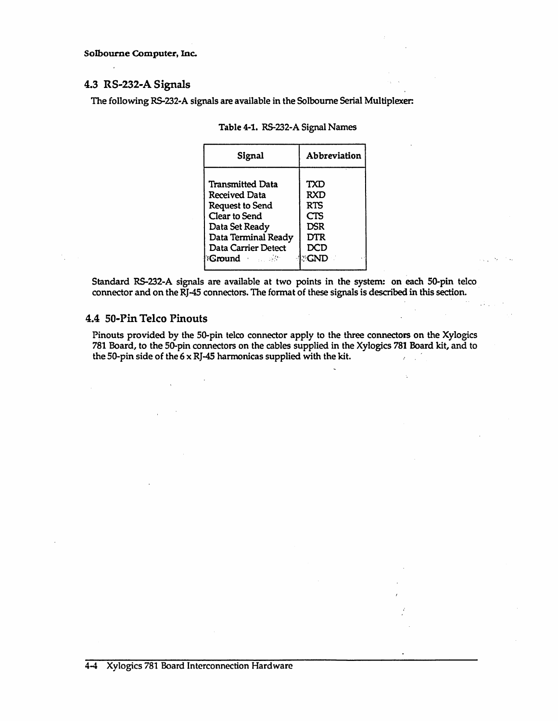Solbourne Computer, Inc.

#### 4.3 RS-232-A Signals

The following RS-232-A signals are available in the Solboume Serial Multiplexer:

| Signal                    | Abbreviation |
|---------------------------|--------------|
| <b>Transmitted Data</b>   | TXD          |
| Received Data             | RXD          |
| <b>Request to Send</b>    | <b>RTS</b>   |
| Clear to Send             | <b>CTS</b>   |
| Data Set Ready            | DSR          |
| Data Terminal Ready       | DTR          |
| Data Carrier Detect       | DCD          |
| <b>Bound Allen Street</b> | I GND -      |

|  |  | Table 4-1. RS-232-A Signal Names |
|--|--|----------------------------------|
|--|--|----------------------------------|

Standard RS-232-A signals are available at two points in the system: on each 50-pin telco connector and on the RJ-45 connectors. The format of these signals is described in this section.

#### 4.4 50-Pin Telco Pinouts

Pinouts provided by the 50-pin telco connector apply to the three connectors on the Xylogics 781 Board, to the 50-pin connectors on the cables supplied in the Xylogics 781 Board kit, and to the 50-pin side of the  $6 \times R$ J-45 harmonicas supplied with the kit.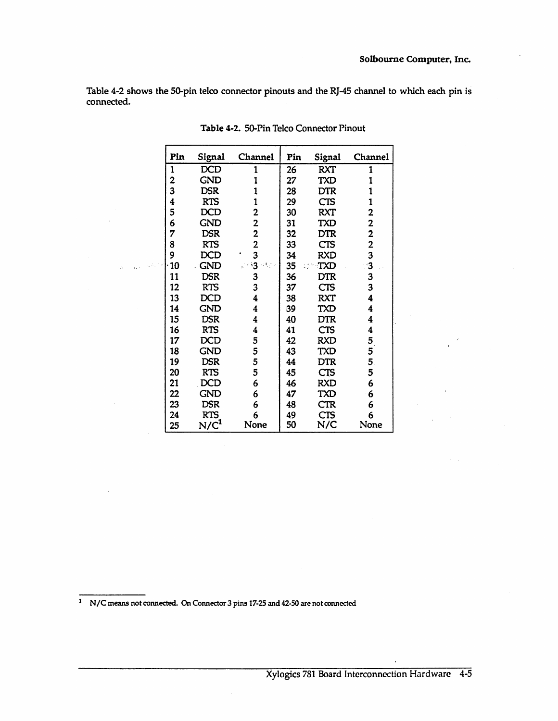Table 4-2 shows the SO-pin telco connector pinouts and the RJ-45 channel to which each pin is connected.

|              | Pin | Signal           | Channel         | Pin            | Signal     | Channel                 |
|--------------|-----|------------------|-----------------|----------------|------------|-------------------------|
|              | 1   | <b>DCD</b>       | 1               | 26             | <b>RXT</b> | 1                       |
|              | 2   | <b>GND</b>       | 1               | 27             | <b>TXD</b> | 1                       |
|              | 3   | DSR              |                 | 28             | <b>DTR</b> | 1                       |
|              | 4   | <b>RTS</b>       | 1               | 29             | <b>CTS</b> | 1                       |
|              | 5   | DCD              | 2               | 30             | <b>RXT</b> | 2                       |
|              | 6   | <b>GND</b>       | 2               | 31             | TXD        | 2                       |
|              | 7   | <b>DSR</b>       | $\overline{2}$  | 32             | <b>DTR</b> | $\overline{\mathbf{c}}$ |
|              | 8   | <b>RTS</b>       | 2               | 33             | <b>CTS</b> | $\overline{\mathbf{c}}$ |
|              | 9   | <b>DCD</b>       | 3               | 34             | <b>RXD</b> | 3                       |
| متشيء بالمنا | 10  | GND              | 23 <b>3</b> 952 | 35<br>i i film | TXD        | 3                       |
|              | 11  | <b>DSR</b>       | 3               | 36             | <b>DTR</b> | 3                       |
|              | 12  | <b>RTS</b>       | 3               | 37             | CTS        | 3                       |
|              | 13  | DCD              | 4               | 38             | <b>RXT</b> | 4                       |
|              | 14  | <b>GND</b>       | 4               | 39             | <b>TXD</b> | 4                       |
|              | 15  | <b>DSR</b>       | 4               | 40             | DTR        | 4                       |
|              | 16  | <b>RTS</b>       | 4               | 41             | <b>CTS</b> | 4                       |
|              | 17  | DCD              | 5               | 42             | <b>RXD</b> | $\frac{5}{5}$           |
|              | 18  | GND              | 5               | 43             | TXD        |                         |
|              | 19  | <b>DSR</b>       | 5               | 44             | DTR        | 5 <sup>1</sup>          |
|              | 20  | <b>RTS</b>       | 5               | 45             | <b>CTS</b> | 5                       |
|              | 21  | DCD              | 6               | 46             | <b>RXD</b> | 6                       |
|              | 22  | <b>GND</b>       | 6               | 47             | TXD        | 6                       |
|              | 23  | <b>DSR</b>       | 6               | 48             | <b>CTR</b> | 6                       |
|              | 24  | <b>RTS</b>       | 6               | 49             | <b>CTS</b> | 6                       |
|              | 25  | N/C <sup>1</sup> | None            | 50             | N/C        | None                    |

| Table 4-2. 50-Pin Telco Connector Pinout |  |  |  |  |
|------------------------------------------|--|--|--|--|
|------------------------------------------|--|--|--|--|

1 N/C means not connected. On Connector 3 pins 17-25 and 42-50 are not connected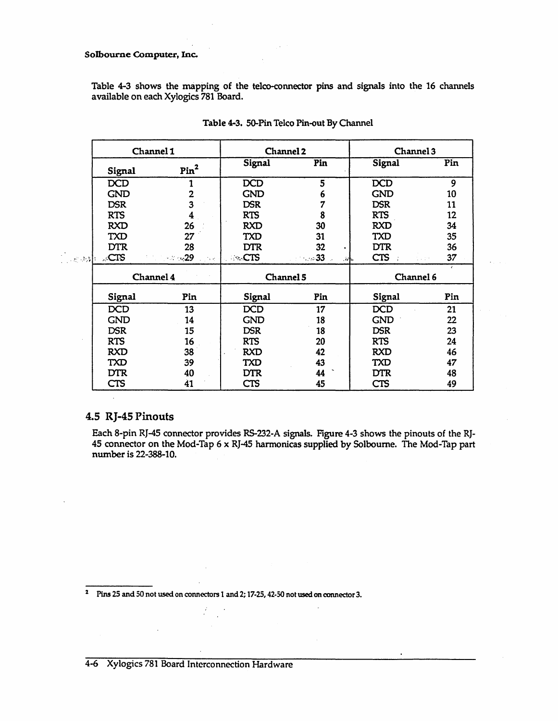#### Solbourne Computer, Inc.

Table 4-3 shows the mapping of the telco-connector pins and signals into the 16 channels available on each Xylogics 781 Board.

|                                   |            | Channel 1                             |            | Channel 2     | Channel 3                        |              |
|-----------------------------------|------------|---------------------------------------|------------|---------------|----------------------------------|--------------|
|                                   | Signal     | Pin <sup>2</sup>                      | Signal     | Pin           | Signal                           | Pin          |
|                                   | <b>DCD</b> |                                       | <b>DCD</b> |               | <b>DCD</b>                       |              |
|                                   | <b>GND</b> |                                       | <b>GND</b> |               | <b>GND</b>                       | 10           |
|                                   | <b>DSR</b> |                                       | <b>DSR</b> |               | <b>DSR</b>                       |              |
|                                   | <b>RTS</b> |                                       | <b>RTS</b> |               | <b>RTS</b>                       | 12           |
|                                   | <b>RXD</b> | 26                                    | <b>RXD</b> | 30            | <b>RXD</b>                       | 34           |
|                                   | <b>TXD</b> | 27                                    | <b>TXD</b> | 31            | <b>TXD</b>                       | 35           |
|                                   | <b>DTR</b> | 28                                    | <b>DTR</b> | 32            | <b>DTR</b>                       | 36           |
| $\frac{1}{2}$ , and $\frac{1}{2}$ | CTS        | ਾ ਵਿਕਾਸ <b>29</b> ਵਿਕਾਸ ਵਿਕ <b>ਾਨ</b> |            | . 33<br>.ah.  | CTS                              | 37<br>19,000 |
|                                   |            |                                       |            | $CL$ $A = 10$ | $C$ <i>lammal <math>C</math></i> |              |

| Channel 4            |     | Channel 5   |     | Channel 6  |     |
|----------------------|-----|-------------|-----|------------|-----|
| Signal               | Pin | Signal      | Pin | Signal     | Pin |
| <b>DCD</b>           | 13  | <b>DCD</b>  | 17  | <b>DCD</b> | 21  |
| <b>GND</b>           | 14  | <b>GND</b>  | 18  | <b>GND</b> | 22  |
| <b>DSR</b>           | 15  | <b>DSR</b>  | 18  | <b>DSR</b> | 23  |
| <b>RTS</b>           | 16  | <b>RTS</b>  | 20  | <b>RTS</b> | 24  |
| <b>RXD</b>           | 38  | <b>RXD</b>  | 42  | <b>RXD</b> | 46  |
| TXD                  | 39  | <b>TXD</b>  | 43  | <b>TXD</b> | 47  |
| <b>DTR</b>           | 40  | <b>DTR</b>  | 44  | <b>DTR</b> | 48  |
| $\mathop{{\rm CTS}}$ | 41  | ${\sf CTS}$ | 45  | <b>CTS</b> | 49  |

# 4.5 RJ-45 Pinouts

Each 8-pin RJ-45 connector provides RS-232-A signals. Figure 4-3 shows the pinouts of the RJ-45 connector on the Mod-Tap 6 x RJ-45 harmonicas supplied by Solboume. The Mod-Tap part number is 22-388-10.

<sup>2</sup>Pins 2S and 50 not used on connectors 1 and 2; 17-25, 42-50 not used on connector 3.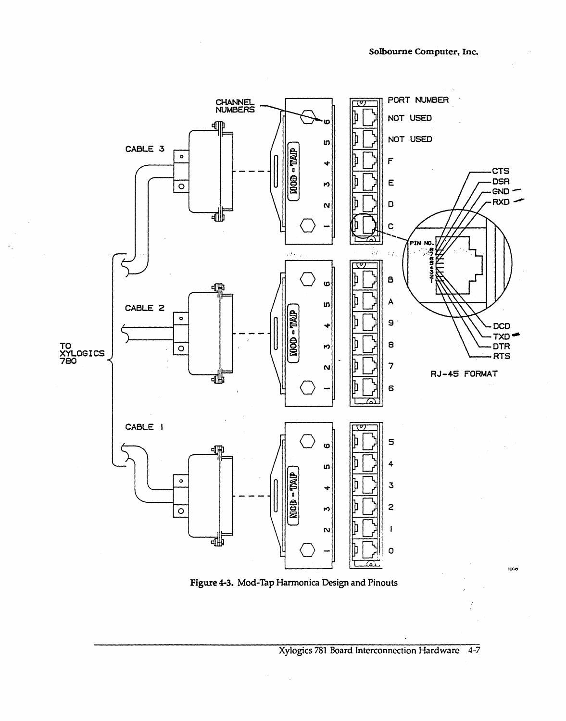

Figure 4-3. Mod-Tap Harmonica Design and Pinouts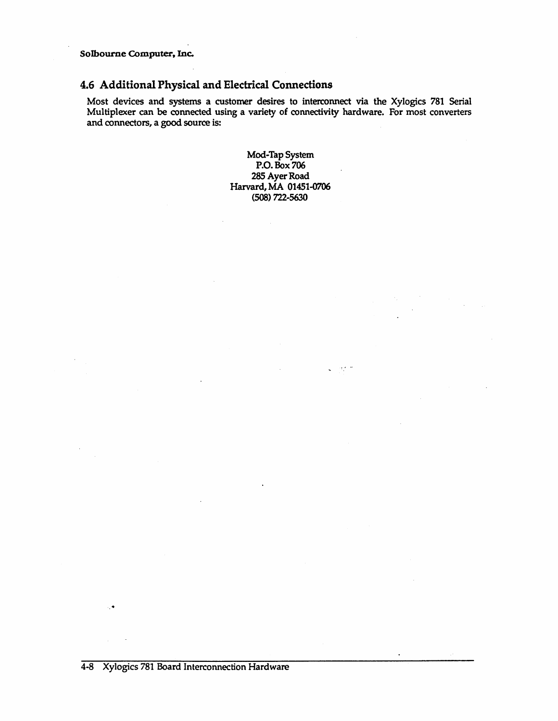SoIbourne Computer, Inc.

# 4.6 Additional Physical and Electrical Connections

Most devices and systems a customer desires to interconnect via the Xylogics 781 Serial Multiplexer can be connected using a variety of connectivity hardware. For most converters and connectors, a good source is:

> Mod-Tap System P.o. Box 706 285 Ayer Road Harvard, MA 01451-0706 (508) 722-5630

> > $\zeta = \partial \phi / \partial$

 $\sim 10^7$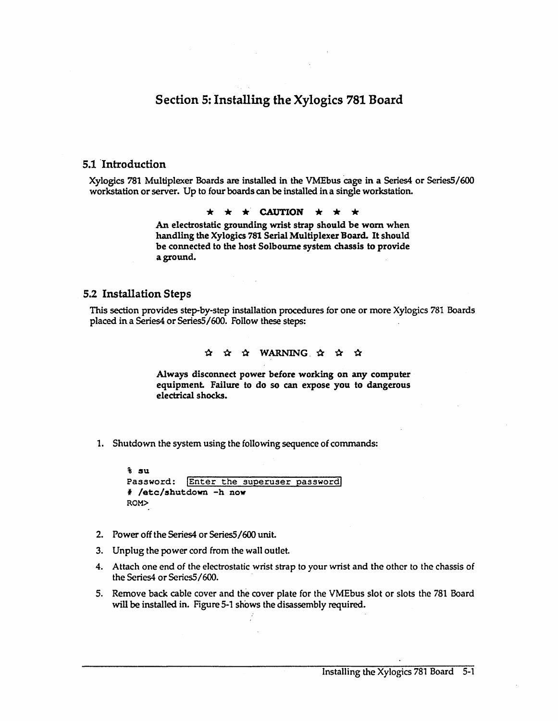# Section 5: Installing the Xylogics 781 Board

#### 5.1 'Introduction

Xylogics 781 Multiplexer Boards are installed in the VMEbus cage in a Series4 or Series5/600 workstation or server. Up to four boards can be installed in a single workstation.

 $\star$   $\star$   $\star$  CAUTION  $\star$   $\star$   $\star$ 

An electrostatic grounding wrist strap should be worn when handling the Xylogics 781 Serial Multiplexer Board. It should be connected to the host Solboume system chassis to provide aground.

#### 5.2 Installation Steps

This section provides step-by-step installation procedures for one or more Xylogics 781 Boards placed in a Series4 or Series5/600. Follow these steps:

#### $\alpha$   $\alpha$   $\alpha$  WARNING  $\alpha$   $\alpha$   $\alpha$

Always disconnect power before working on any computer equipment. Failure to do so can expose you to dangerous electrical shocks.

1. Shutdown the system using the following sequence of commands:

| t su |                                        |  |
|------|----------------------------------------|--|
|      | Password: Enter the superuser password |  |
|      | # /etc/shutdown -h now                 |  |
| ROM> |                                        |  |

- 2. Power off the Series4 or SeriesS/600 unit.
- 3. Unplug the power cord from the waIl outlet.
- 4. Attach one end of the electrostatic wrist strap to your wrist and the other to the chassis of the Series4 or Series5/600.
- 5. Remove back cable cover and the cover plate for the VMEbus slot or slots the 781 Board will be installed in. Figure 5-1 shows the disassembly required.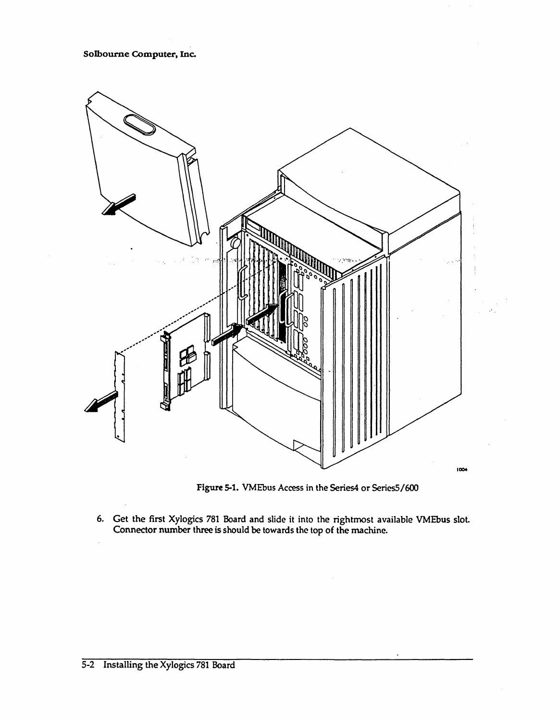#### Solbourne Computer, Inc.



Figure 5-1. VMEbus Access in the Series4 or Series5/600

6. Get the first Xylogics 781 Board and slide it into the rightmost available VMEbus slot. Connector number three is should be towards the top of the machine.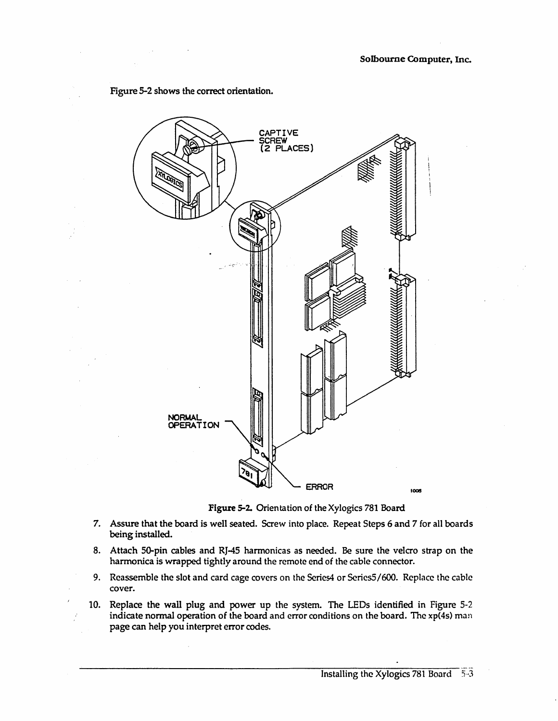

Figure 5-2 shows the correct orientation.

Figure 5-2. Orientation of the Xylogics 781 Board

- 7. Assure that the board is well seated. Screw into place. Repeat Steps 6 and 7 for all boards being installed.
- 8. Attach 50-pin cables and RJ-45 harmonicas as needed. Be sure the velcro strap on the harmonica is wrapped tightly around the remote end of the cable connector.
- 9. Reassemble the slot and card cage covers on the Series4 or *ScriesS/600.* Replace the cable cover.
- 10. Replace the wall plug and power up the system. The LEDs identified in Figure 5-2 indicate normal operation of the board and error conditions on the board. The xp(4s) man page can help you interpret error codes.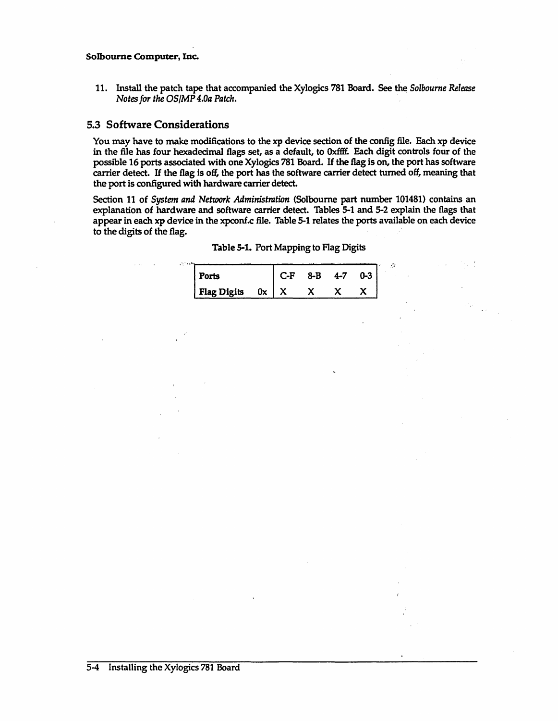#### SoIbourne COmputer, Inc.

11. Install the patch tape that accompanied the Xylogics 781 Board. See the *Solbourne Release Notes for the OS/MP 4.0a Patch.* 

# 5.3 Software Considerations

You may have to make modifications to the xp device section of the config file. Each xp device in the file has four hexadecimal flags set, as a default, to Oxffff. Each digit controls four of the possible 16 ports associated with one Xylogics 781 Board. If the flag is on, the port has software carrier detect. If the flag is off, the port has the software carrier detect turned off, meaning that the port is configured with hardware carrier detect.

Section 11 of *System and Network Administration* (Solboume part number 101481) contains an explanation of hardware and software carrier detect. Tables 5-1 and 5-2 explain the flags that appear in each xp device in the xpconf.c file. Table 5-1 relates the ports available on each device to the digits of the flag.

| Ports              |    | C-F | $R - R$ | 4-7 |  |
|--------------------|----|-----|---------|-----|--|
| <b>Flag Digits</b> | 0x |     |         |     |  |

Table 5-1. Port Mapping to Flag Digits

 $\mathcal{L}^{\mathcal{L}}$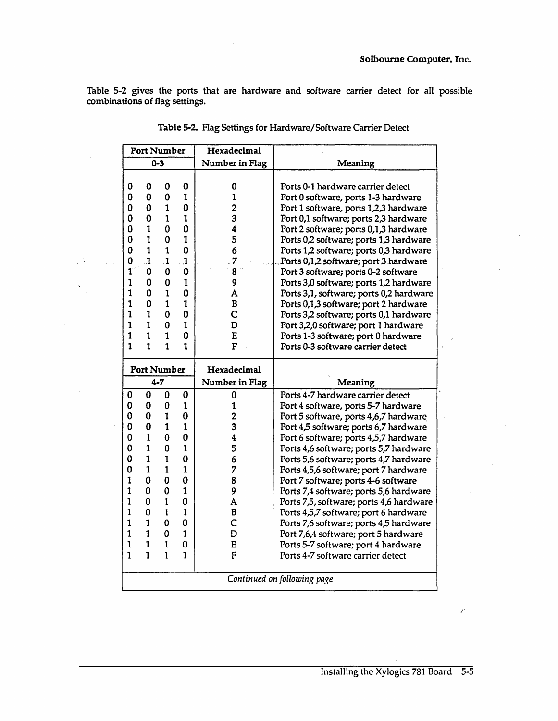Table 5-2 gives the ports that are hardware and software carrier detect for all possible combinations of flag settings.

|              | <b>Port Number</b> |              |                          | Hexadecimal             |                                                                                |  |  |
|--------------|--------------------|--------------|--------------------------|-------------------------|--------------------------------------------------------------------------------|--|--|
|              |                    | $0 - 3$      |                          | Number in Flag          | Meaning                                                                        |  |  |
|              |                    |              |                          |                         |                                                                                |  |  |
| 0            | $\bf{0}$           | 0            | 0                        | 0                       | Ports 0-1 hardware carrier detect                                              |  |  |
| 0            | $\bf{0}$           | 0            | $\mathbf{1}$             | $\mathbf{1}$            | Port 0 software, ports 1-3 hardware                                            |  |  |
| $\mathbf 0$  | 0                  | 1            | 0                        | $\overline{2}$          | Port 1 software, ports 1,2,3 hardware                                          |  |  |
| 0            | $\mathbf 0$        | 1            | $\mathbf{1}$             | 3                       | Port 0,1 software; ports 2,3 hardware                                          |  |  |
| 0            | 1                  | 0            | $\mathbf 0$              | 4                       | Port 2 software; ports 0,1,3 hardware                                          |  |  |
| 0            | $\mathbf{1}$       | 0            | $\mathbf 1$              | 5                       | Ports 0,2 software; ports 1,3 hardware                                         |  |  |
| $\bf{0}$     | $\mathbf{1}$       | $\mathbf{1}$ | $\mathbf 0$              | 6                       | Ports 1,2 software; ports 0,3 hardware                                         |  |  |
| 0            | $\cdot$ 1          | $\mathbf{1}$ | $\cdot$ 1                | 7                       | Ports 0,1,2 software; port 3 hardware                                          |  |  |
| $\mathbf{T}$ | $\bf{0}$           | 0            | 0                        | 8                       | Port 3 software; ports 0-2 software                                            |  |  |
| $\mathbf{1}$ | 0                  | 0            | $\mathbf{1}$             | 9                       | Ports 3,0 software; ports 1,2 hardware                                         |  |  |
| $\mathbf{1}$ | 0                  | $\mathbf{1}$ | $\mathbf 0$              | A                       | Ports 3,1, software; ports 0,2 hardware                                        |  |  |
| $\mathbf{1}$ | $\bf{0}$           | $\mathbf{1}$ | $\mathbf{1}$             | $\bf{B}$                | Ports 0,1,3 software; port 2 hardware                                          |  |  |
| $\mathbf{1}$ | $\mathbf{1}$       | 0            | 0                        | C                       | Ports 3,2 software; ports 0,1 hardware                                         |  |  |
| $\mathbf{1}$ | $\mathbf{1}$       | 0            | $\mathbf{1}$             | D                       | Port 3,2,0 software; port 1 hardware                                           |  |  |
| $\mathbf{1}$ | $\mathbf{1}$       | $\mathbf{1}$ | $\mathbf 0$              | E                       | Ports 1-3 software; port 0 hardware                                            |  |  |
| $\mathbf{1}$ | $\mathbf{1}$       | $\mathbf{1}$ | $\mathbf{1}$             | $\mathbf F$             | Ports 0-3 software carrier detect                                              |  |  |
|              | Port Number        |              |                          | Hexadecimal             |                                                                                |  |  |
|              |                    | $4 - 7$      |                          | Number in Flag          | Meaning                                                                        |  |  |
|              |                    |              |                          |                         | Ports 4-7 hardware carrier detect                                              |  |  |
| 0<br>0       | 0<br>0             | 0<br>0       | $\bf{0}$<br>$\mathbf{1}$ | 0<br>1                  |                                                                                |  |  |
| 0            | $\bf{0}$           | $\mathbf{1}$ | $\bf{0}$                 | $\overline{2}$          | Port 4 software, ports 5-7 hardware<br>Port 5 software, ports 4,6,7 hardware   |  |  |
| 0            | $\bf{0}$           | 1            | $\mathbf{1}$             | 3                       |                                                                                |  |  |
| $\mathbf 0$  | $\mathbf{1}$       | $\bf{0}$     | $\bf{0}$                 | $\overline{\mathbf{4}}$ | Port 4,5 software; ports 6,7 hardware<br>Port 6 software; ports 4,5,7 hardware |  |  |
| $\mathbf 0$  | $\mathbf{1}$       | $\mathbf 0$  | $\mathbf{1}$             | 5                       | Ports 4,6 software; ports 5,7 hardware                                         |  |  |
| 0            | $\mathbf{1}$       | $\mathbf{1}$ | 0                        | 6                       | Ports 5,6 software; ports 4,7 hardware                                         |  |  |
| 0            | $\mathbf{1}$       | $\mathbf{1}$ | $\mathbf{1}$             | 7                       | Ports 4,5,6 software; port 7 hardware                                          |  |  |
| $\mathbf{1}$ | $\mathbf 0$        | 0            | $\mathbf 0$              | 8                       | Port 7 software; ports 4-6 software                                            |  |  |
| $\mathbf{1}$ | 0                  | 0            | $\mathbf{1}$             | 9                       | Ports 7,4 software; ports 5,6 hardware                                         |  |  |
| $\mathbf{1}$ | $\bf{0}$           | 1            | $\mathbf 0$              | A                       | Ports 7,5, software; ports 4,6 hardware                                        |  |  |
| $\mathbf{1}$ | 0                  | $\mathbf{1}$ | $\mathbf{1}$             | $\bf{B}$                | Ports 4,5,7 software; port 6 hardware                                          |  |  |
| $\mathbf{1}$ | $\mathbf{1}$       | 0            | $\mathbf 0$              | Ċ                       | Ports 7,6 software; ports 4,5 hardware                                         |  |  |
| $\mathbf{1}$ | $\mathbf{1}$       | 0            | $\mathbf{1}$             | D                       | Port 7,6,4 software; port 5 hardware                                           |  |  |
| $\mathbf{1}$ | $\mathbf{1}$       | $\mathbf{1}$ | $\bf{0}$                 | E                       | Ports 5-7 software; port 4 hardware                                            |  |  |
| 1            | $\mathbf{1}$       | $\mathbf{1}$ | $\mathbf{1}$             | F                       | Ports 4-7 software carrier detect                                              |  |  |
|              |                    |              |                          |                         |                                                                                |  |  |
|              |                    |              |                          |                         | Continued on following page                                                    |  |  |

 $\omega^{(i\mathbf{k})}$  , where  $\omega$ 

 $\sim 10$ 

|  | Table 5-2. Flag Settings for Hardware/Software Carrier Detect |  |  |
|--|---------------------------------------------------------------|--|--|
|--|---------------------------------------------------------------|--|--|

 $\mathcal{L}_{\mathcal{L}}$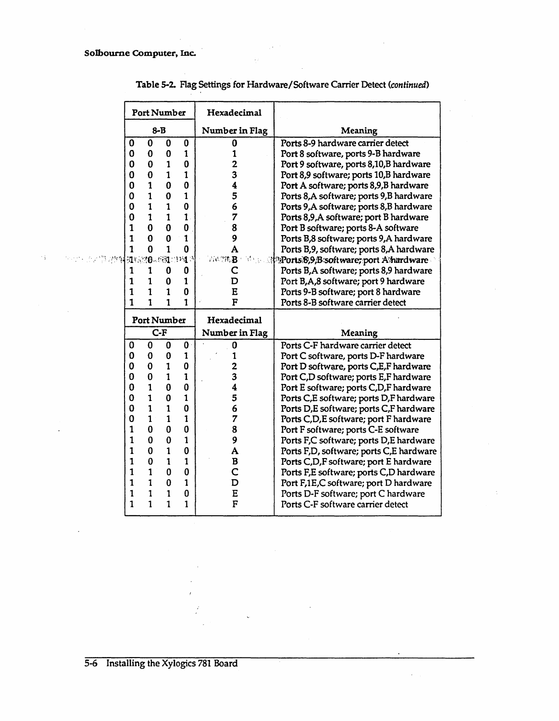$\gamma_{\rm A}^{\rm c}$ 

|              | <b>Port Number</b> |                   |              | Hexadecimal             |                                                                                |
|--------------|--------------------|-------------------|--------------|-------------------------|--------------------------------------------------------------------------------|
|              |                    | $8 - B$           |              | Number in Flag          | <b>Meaning</b>                                                                 |
| 0            | $\mathbf 0$        | $\bf{0}$          | 0            | 0                       | Ports 8-9 hardware carrier detect                                              |
| 0            | 0                  | $\bf{0}$          | $\mathbf{1}$ | 1                       | Port 8 software, ports 9-B hardware                                            |
| 0            | 0                  | $\mathbf{1}$      | 0            | $\overline{\mathbf{c}}$ | Port 9 software, ports 8,10,B hardware                                         |
| 0            | 0                  | $\mathbf{1}$      | $\mathbf{1}$ | 3                       | Port 8,9 software; ports 10,B hardware                                         |
| 0            | 1                  | 0                 | $\mathbf 0$  | 4                       | Port A software; ports 8,9,B hardware                                          |
| 0            | 1                  | 0                 | 1            | 5                       | Ports 8, A software; ports 9, B hardware                                       |
| 0            | 1                  | $\mathbf{1}$      | $\bf{0}$     | 6                       | Ports 9, A software; ports 8, B hardware                                       |
| 0            | $\mathbf{1}$       | $\mathbf{1}$      | $\mathbf{1}$ | 7                       | Ports 8,9,A software; port B hardware                                          |
| 1            | 0                  | $\bf{0}$          | $\bf{0}$     | 8                       | Port B software; ports 8-A software                                            |
| 1            | U                  | 0                 | 1            | 9                       | Ports B,8 software; ports 9,A hardware                                         |
| 1            | 0                  | 1                 | $\bf{0}$     | A                       | Ports B,9, software; ports 8,A hardware                                        |
|              | 机应相 580 1943       |                   |              | 市的优惠                    | <b>Ports 8,9, B software; port A hardware</b>                                  |
| 1            | 1                  | 0                 | $\mathbf 0$  | C                       | Ports B, A software; ports 8,9 hardware                                        |
| $\mathbf{1}$ | $\mathbf{1}$       | 0                 | $\mathbf{1}$ | D                       | Port B,A,8 software; port 9 hardware                                           |
| $\mathbf{1}$ | $\mathbf{1}$       | $\mathbf{1}$      | $\bf{0}$     | E                       | Ports 9-B software; port 8 hardware                                            |
| 1            | 1                  | 1                 | 1            | F                       | Ports 8-B software carrier detect                                              |
|              | <b>Port Number</b> |                   |              |                         |                                                                                |
|              |                    |                   |              | Hexadecimal             |                                                                                |
|              |                    | $C-F$             |              | Number in Flag          | Meaning                                                                        |
| 0            | $\mathbf 0$        | 0                 | $\mathbf{0}$ | 0                       | Ports C-F hardware carrier detect                                              |
| 0            | 0                  | 0                 | 1            | 1                       |                                                                                |
| 0            | 0                  | $\mathbf{1}$      | $\bf{0}$     |                         | Port C software, ports D-F hardware<br>Port D software, ports C,E,F hardware   |
| 0            | 0                  | 1                 | $\mathbf{1}$ | 3                       |                                                                                |
| 0            | $\mathbf{1}$       | $\bf{0}$          | $\mathbf 0$  | 4                       | Port C,D software; ports E,F hardware<br>Port E software; ports C,D,F hardware |
| 0            | 1                  | $\mathbf 0$       | $\mathbf{1}$ | 5                       | Ports C,E software; ports D,F hardware                                         |
| 0            | $\mathbf{1}$       | $\mathbf{1}$      | $\bf{0}$     | 6                       | Ports D,E software; ports C,F hardware                                         |
| 0            | $\mathbf{1}$       | $\mathbf{1}$      | $\mathbf{1}$ | 7                       | Ports C,D,E software; port F hardware                                          |
| 1            | $\Omega$           | 0                 | 0            | 8                       | Port F software; ports C-E software                                            |
| 1            | 0                  | 0                 | $\mathbf{1}$ | 9                       | Ports F,C software; ports D,E hardware                                         |
| 1            | 0                  | $\mathbf{1}$      | $\mathbf 0$  | A                       | Ports F,D, software; ports C,E hardware                                        |
| 1            | 0                  | 1                 | 1            | B                       | Ports C,D,F software; port E hardware                                          |
| 1            | $\mathbf{1}$       | 0                 | $\bf{0}$     | C                       | Ports F,E software; ports C,D hardware                                         |
| 1            | $\mathbf{1}$       | 0                 | $\mathbf{1}$ | D                       | Port F,1E,C software; port D hardware                                          |
| 1            | 1<br>$\mathbf{1}$  | 1<br>$\mathbf{1}$ | $\bf{0}$     | E<br>F                  | Ports D-F software; port C hardware<br>Ports C-F software carrier detect       |

Table 5-2. Flag Settings for Hardware/Software Carrier Detect (continued)